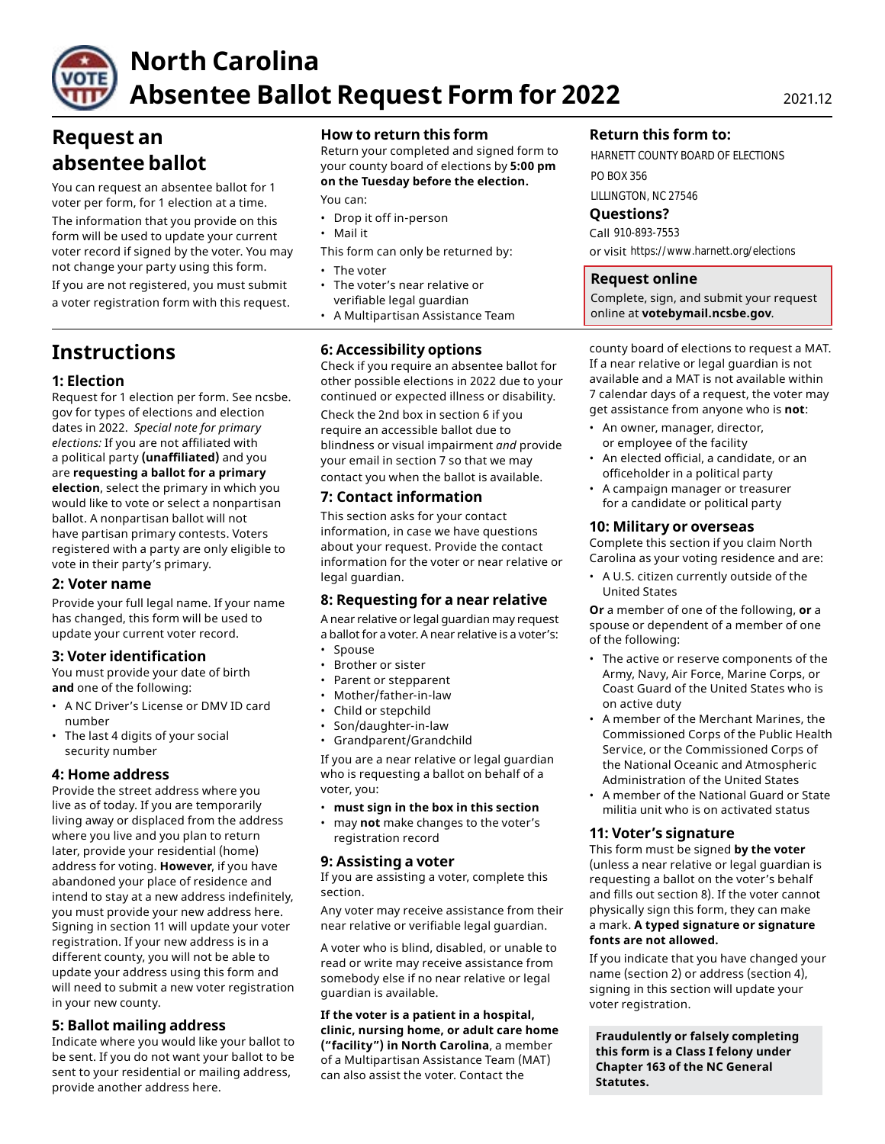

# **North Carolina Absentee Ballot Request Form for 2022** 2021.12

# **Request an absentee ballot**

You can request an absentee ballot for 1 voter per form, for 1 election at a time.

The information that you provide on this form will be used to update your current voter record if signed by the voter. You may not change your party using this form. • The voter

If you are not registered, you must submit • The voter's near relative or a voter registration form with this request.

# **Instructions**

# **1: Election**

Request for 1 election per form. See ncsbe. gov for types of elections and election dates in 2022. *Special note for primary elections:* If you are not affiliated with a political party **(unaffiliated)** and you are **requesting a ballot for a primary election**, select the primary in which you would like to vote or select a nonpartisan ballot. A nonpartisan ballot will not have partisan primary contests. Voters registered with a party are only eligible to vote in their party's primary.

# **2: Voter name**

Provide your full legal name. If your name has changed, this form will be used to update your current voter record.

# **3: Voter identification**

You must provide your date of birth **and** one of the following:

- A NC Driver's License or DMV ID card number
- The last 4 digits of your social security number

# **4: Home address**

Provide the street address where you live as of today. If you are temporarily living away or displaced from the address where you live and you plan to return later, provide your residential (home) address for voting. **However**, if you have abandoned your place of residence and intend to stay at a new address indefinitely, you must provide your new address here. Signing in section 11 will update your voter registration. If your new address is in a different county, you will not be able to update your address using this form and will need to submit a new voter registration in your new county.

# **5: Ballot mailing address**

Indicate where you would like your ballot to be sent. If you do not want your ballot to be sent to your residential or mailing address, provide another address here.

# **How to return this form**

Return your completed and signed form to your county board of elections by **5:00 pm on the Tuesday before the election.** 

You can:

- Drop it off in-person
- Mail it
- This form can only be returned by:
- 
- verifiable legal guardian
- A Multipartisan Assistance Team

# **6: Accessibility options**

Check if you require an absentee ballot for other possible elections in 2022 due to your continued or expected illness or disability.

Check the 2nd box in section 6 if you require an accessible ballot due to blindness or visual impairment *and* provide your email in section 7 so that we may contact you when the ballot is available.

# **7: Contact information**

This section asks for your contact information, in case we have questions about your request. Provide the contact information for the voter or near relative or legal guardian.

# **8: Requesting for a near relative**

A near relative or legal guardian may request a ballot for a voter. A near relative is a voter's:

- Spouse
- Brother or sister
- Parent or stepparent
- Mother/father-in-law
- Child or stepchild
- Son/daughter-in-law
- Grandparent/Grandchild

If you are a near relative or legal guardian who is requesting a ballot on behalf of a voter, you:

- **must sign in the box in this section**
- may **not** make changes to the voter's registration record

# **9: Assisting a voter**

If you are assisting a voter, complete this section.

Any voter may receive assistance from their near relative or verifiable legal guardian.

A voter who is blind, disabled, or unable to read or write may receive assistance from somebody else if no near relative or legal guardian is available.

**If the voter is a patient in a hospital, clinic, nursing home, or adult care home ("facility") in North Carolina**, a member of a Multipartisan Assistance Team (MAT) can also assist the voter. Contact the

# **Return this form to:**

HARNETT COUNTY BOARD OF ELECTIONS PO BOX 356 LILLINGTON, NC 27546

**Questions?** 

Call 910-893-7553 or visit https://www.harnett.org/elections

#### **Request online**

Complete, sign, and submit your request online at **[votebymail.ncsbe.gov](https://votebymail.ncsbe.gov)**.

county board of elections to request a MAT. If a near relative or legal guardian is not available and a MAT is not available within 7 calendar days of a request, the voter may get assistance from anyone who is **not**:

- An owner, manager, director, or employee of the facility
- An elected official, a candidate, or an officeholder in a political party
- A campaign manager or treasurer for a candidate or political party

#### **10: Military or overseas**

Complete this section if you claim North Carolina as your voting residence and are:

• A U.S. citizen currently outside of the United States

**Or** a member of one of the following, **or** a spouse or dependent of a member of one of the following:

- The active or reserve components of the Army, Navy, Air Force, Marine Corps, or Coast Guard of the United States who is on active duty
- A member of the Merchant Marines, the Commissioned Corps of the Public Health Service, or the Commissioned Corps of the National Oceanic and Atmospheric Administration of the United States
- A member of the National Guard or State militia unit who is on activated status

#### **11: Voter's signature**

This form must be signed **by the voter**  (unless a near relative or legal guardian is requesting a ballot on the voter's behalf and fills out section 8). If the voter cannot physically sign this form, they can make a mark. **A typed signature or signature fonts are not allowed.** 

If you indicate that you have changed your name (section 2) or address (section 4), signing in this section will update your voter registration.

**Fraudulently or falsely completing this form is a Class I felony under Chapter 163 of the NC General Statutes.**